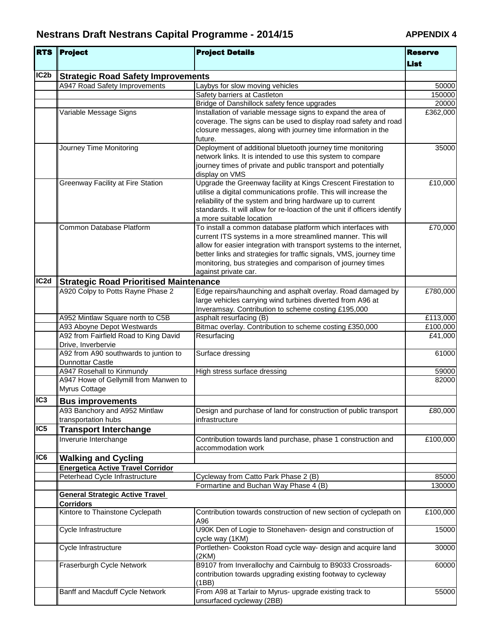| <b>RTS</b>       | <b>Project</b>                                                   | <b>Project Details</b>                                                                                                                  | <b>Reserve</b>       |
|------------------|------------------------------------------------------------------|-----------------------------------------------------------------------------------------------------------------------------------------|----------------------|
|                  |                                                                  |                                                                                                                                         | <b>List</b>          |
| IC <sub>2b</sub> | <b>Strategic Road Safety Improvements</b>                        |                                                                                                                                         |                      |
|                  | A947 Road Safety Improvements                                    | Laybys for slow moving vehicles                                                                                                         | 50000                |
|                  |                                                                  | Safety barriers at Castleton                                                                                                            | 150000               |
|                  |                                                                  | Bridge of Danshillock safety fence upgrades                                                                                             | 20000                |
|                  | Variable Message Signs                                           | Installation of variable message signs to expand the area of                                                                            | £362,000             |
|                  |                                                                  | coverage. The signs can be used to display road safety and road                                                                         |                      |
|                  |                                                                  | closure messages, along with journey time information in the<br>future.                                                                 |                      |
|                  | Journey Time Monitoring                                          | Deployment of additional bluetooth journey time monitoring                                                                              | 35000                |
|                  |                                                                  | network links. It is intended to use this system to compare                                                                             |                      |
|                  |                                                                  | journey times of private and public transport and potentially                                                                           |                      |
|                  |                                                                  | display on VMS                                                                                                                          |                      |
|                  | Greenway Facility at Fire Station                                | Upgrade the Greenway facility at Kings Crescent Firestation to                                                                          | £10,000              |
|                  |                                                                  | utilise a digital communications profile. This will increase the                                                                        |                      |
|                  |                                                                  | reliability of the system and bring hardware up to current<br>standards. It will allow for re-loaction of the unit if officers identify |                      |
|                  |                                                                  | a more suitable location                                                                                                                |                      |
|                  | Common Database Platform                                         | To install a common database platform which interfaces with                                                                             | £70,000              |
|                  |                                                                  | current ITS systems in a more streamlined manner. This will                                                                             |                      |
|                  |                                                                  | allow for easier integration with transport systems to the internet,                                                                    |                      |
|                  |                                                                  | better links and strategies for traffic signals, VMS, journey time                                                                      |                      |
|                  |                                                                  | monitoring, bus strategies and comparison of journey times                                                                              |                      |
|                  |                                                                  | against private car.                                                                                                                    |                      |
| IC <sub>2d</sub> | <b>Strategic Road Prioritised Maintenance</b>                    |                                                                                                                                         |                      |
|                  | A920 Colpy to Potts Rayne Phase 2                                | Edge repairs/haunching and asphalt overlay. Road damaged by                                                                             | £780,000             |
|                  |                                                                  | large vehicles carrying wind turbines diverted from A96 at                                                                              |                      |
|                  |                                                                  | Inveramsay. Contribution to scheme costing £195,000                                                                                     |                      |
|                  | A952 Mintlaw Square north to C5B<br>A93 Aboyne Depot Westwards   | asphalt resurfacing (B)<br>Bitmac overlay. Contribution to scheme costing £350,000                                                      | £113,000<br>£100,000 |
|                  | A92 from Fairfield Road to King David                            | Resurfacing                                                                                                                             | £41,000              |
|                  | Drive, Inverbervie                                               |                                                                                                                                         |                      |
|                  | A92 from A90 southwards to juntion to<br><b>Dunnottar Castle</b> | Surface dressing                                                                                                                        | 61000                |
|                  | A947 Rosehall to Kinmundy                                        | High stress surface dressing                                                                                                            | 59000                |
|                  | A947 Howe of Gellymill from Manwen to                            |                                                                                                                                         | 82000                |
|                  | Myrus Cottage                                                    |                                                                                                                                         |                      |
| IC <sub>3</sub>  | <b>Bus improvements</b>                                          |                                                                                                                                         |                      |
|                  | A93 Banchory and A952 Mintlaw                                    | Design and purchase of land for construction of public transport                                                                        | £80,000              |
| IC5              | transportation hubs                                              | infrastructure                                                                                                                          |                      |
|                  | <b>Transport Interchange</b>                                     |                                                                                                                                         |                      |
|                  | Inverurie Interchange                                            | Contribution towards land purchase, phase 1 construction and<br>accommodation work                                                      | £100,000             |
| IC6              | <b>Walking and Cycling</b>                                       |                                                                                                                                         |                      |
|                  | <b>Energetica Active Travel Corridor</b>                         |                                                                                                                                         |                      |
|                  | Peterhead Cycle Infrastructure                                   | Cycleway from Catto Park Phase 2 (B)                                                                                                    | 85000                |
|                  |                                                                  | Formartine and Buchan Way Phase 4 (B)                                                                                                   | 130000               |
|                  | <b>General Strategic Active Travel</b><br><b>Corridors</b>       |                                                                                                                                         |                      |
|                  | Kintore to Thainstone Cyclepath                                  | Contribution towards construction of new section of cyclepath on                                                                        | £100,000             |
|                  |                                                                  | A96                                                                                                                                     |                      |
|                  | Cycle Infrastructure                                             | U90K Den of Logie to Stonehaven- design and construction of<br>cycle way (1KM)                                                          | 15000                |
|                  | Cycle Infrastructure                                             | Portlethen- Cookston Road cycle way- design and acquire land                                                                            | 30000                |
|                  |                                                                  | (2KM)                                                                                                                                   |                      |
|                  | Fraserburgh Cycle Network                                        | B9107 from Inverallochy and Cairnbulg to B9033 Crossroads-<br>contribution towards upgrading existing footway to cycleway               | 60000                |
|                  | Banff and Macduff Cycle Network                                  | (1BB)<br>From A98 at Tarlair to Myrus- upgrade existing track to                                                                        | 55000                |
|                  |                                                                  | unsurfaced cycleway (2BB)                                                                                                               |                      |